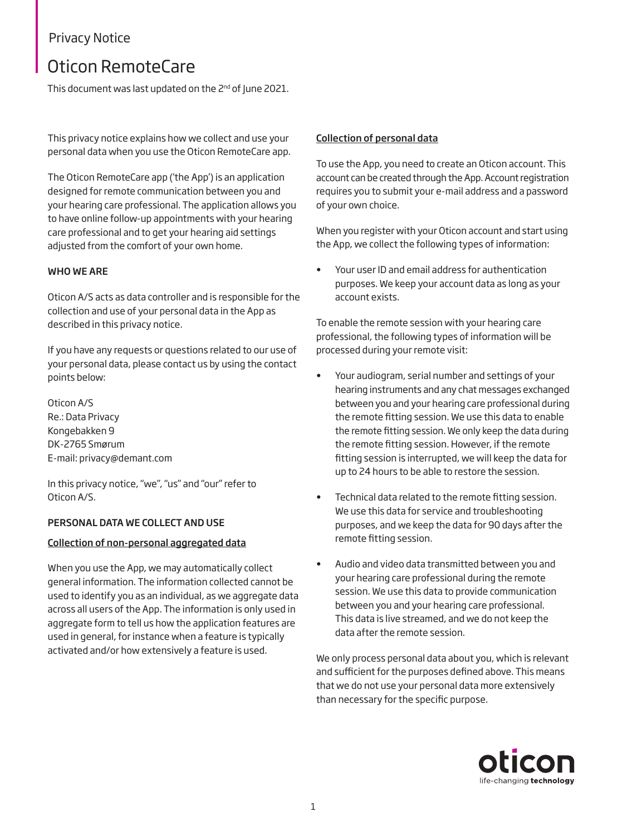### Privacy Notice

# Oticon RemoteCare

This document was last updated on the 2<sup>nd</sup> of June 2021.

This privacy notice explains how we collect and use your personal data when you use the Oticon RemoteCare app.

The Oticon RemoteCare app ('the App') is an application designed for remote communication between you and your hearing care professional. The application allows you to have online follow-up appointments with your hearing care professional and to get your hearing aid settings adjusted from the comfort of your own home.

### WHO WE ARE

Oticon A/S acts as data controller and is responsible for the collection and use of your personal data in the App as described in this privacy notice.

If you have any requests or questions related to our use of your personal data, please contact us by using the contact points below:

Oticon A/S Re.: Data Privacy Kongebakken 9 DK-2765 Smørum E-mail: [privacy@demant.com](mailto:privacy@demant.com) 

In this privacy notice, "we", "us" and "our" refer to Oticon A/S.

### PERSONAL DATA WE COLLECT AND USE

### Collection of non-personal aggregated data

When you use the App, we may automatically collect general information. The information collected cannot be used to identify you as an individual, as we aggregate data across all users of the App. The information is only used in aggregate form to tell us how the application features are used in general, for instance when a feature is typically activated and/or how extensively a feature is used.

#### Collection of personal data

To use the App, you need to create an Oticon account. This account can be created through the App. Account registration requires you to submit your e-mail address and a password of your own choice.

When you register with your Oticon account and start using the App, we collect the following types of information:

• Your user ID and email address for authentication purposes. We keep your account data as long as your account exists.

To enable the remote session with your hearing care professional, the following types of information will be processed during your remote visit:

- Your audiogram, serial number and settings of your hearing instruments and any chat messages exchanged between you and your hearing care professional during the remote fitting session. We use this data to enable the remote fitting session. We only keep the data during the remote fitting session. However, if the remote fitting session is interrupted, we will keep the data for up to 24 hours to be able to restore the session.
- Technical data related to the remote fitting session. We use this data for service and troubleshooting purposes, and we keep the data for 90 days after the remote fitting session.
- Audio and video data transmitted between you and your hearing care professional during the remote session. We use this data to provide communication between you and your hearing care professional. This data is live streamed, and we do not keep the data after the remote session.

We only process personal data about you, which is relevant and sufficient for the purposes defined above. This means that we do not use your personal data more extensively than necessary for the specific purpose.

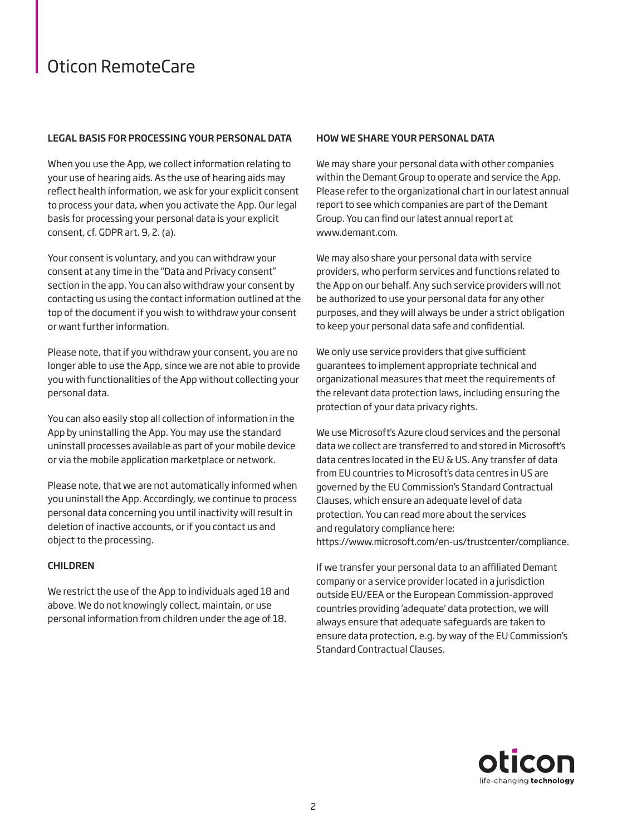## Oticon RemoteCare

### LEGAL BASIS FOR PROCESSING YOUR PERSONAL DATA

When you use the App, we collect information relating to your use of hearing aids. As the use of hearing aids may reflect health information, we ask for your explicit consent to process your data, when you activate the App. Our legal basis for processing your personal data is your explicit consent, cf. GDPR art. 9, 2. (a).

Your consent is voluntary, and you can withdraw your consent at any time in the "Data and Privacy consent" section in the app. You can also withdraw your consent by contacting us using the contact information outlined at the top of the document if you wish to withdraw your consent or want further information.

Please note, that if you withdraw your consent, you are no longer able to use the App, since we are not able to provide you with functionalities of the App without collecting your personal data.

You can also easily stop all collection of information in the App by uninstalling the App. You may use the standard uninstall processes available as part of your mobile device or via the mobile application marketplace or network.

Please note, that we are not automatically informed when you uninstall the App. Accordingly, we continue to process personal data concerning you until inactivity will result in deletion of inactive accounts, or if you contact us and object to the processing.

### CHILDREN

We restrict the use of the App to individuals aged 18 and above. We do not knowingly collect, maintain, or use personal information from children under the age of 18.

### HOW WE SHARE YOUR PERSONAL DATA

We may share your personal data with other companies within the Demant Group to operate and service the App. Please refer to the organizational chart in our latest annual report to see which companies are part of the Demant Group. You can find our latest annual report at [www.demant.com.](http://www.demant.com)

We may also share your personal data with service providers, who perform services and functions related to the App on our behalf. Any such service providers will not be authorized to use your personal data for any other purposes, and they will always be under a strict obligation to keep your personal data safe and confidential.

We only use service providers that give sufficient guarantees to implement appropriate technical and organizational measures that meet the requirements of the relevant data protection laws, including ensuring the protection of your data privacy rights.

We use Microsoft's Azure cloud services and the personal data we collect are transferred to and stored in Microsoft's data centres located in the EU & US. Any transfer of data from EU countries to Microsoft's data centres in US are governed by the EU Commission's Standard Contractual Clauses, which ensure an adequate level of data protection. You can read more about the services and regulatory compliance here: <https://www.microsoft.com/en-us/trustcenter/compliance.>

If we transfer your personal data to an affiliated Demant company or a service provider located in a jurisdiction outside EU/EEA or the European Commission-approved countries providing 'adequate' data protection, we will always ensure that adequate safeguards are taken to ensure data protection, e.g. by way of the EU Commission's Standard Contractual Clauses.